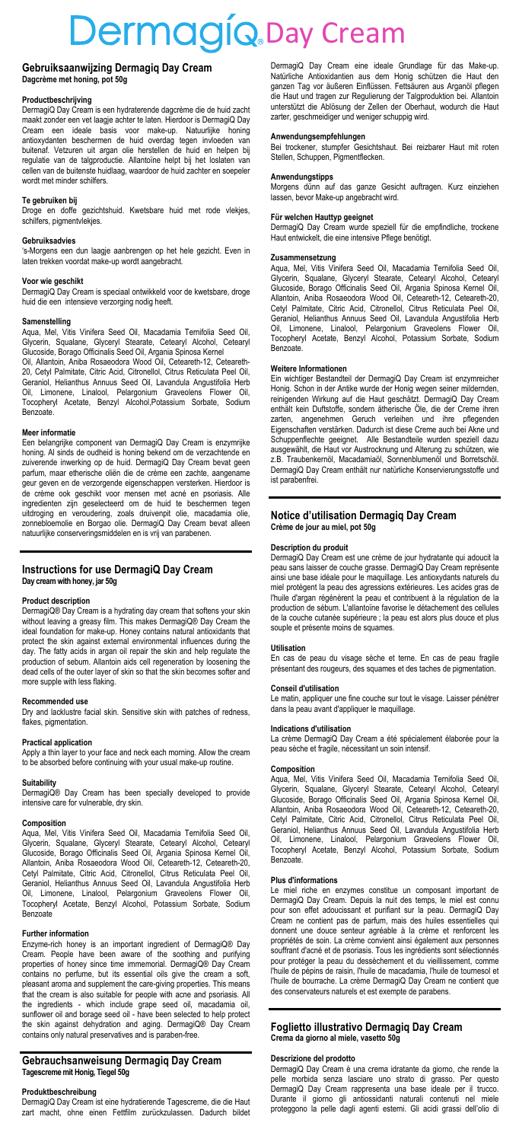# DermagiQ.Day Cream

#### **Gebruiksaanwijzing Dermagiq Day Cream Dagcrème met honi**

### **Productbeschrijving**

DermagiQ Day Cream is een hydraterende dagcrème die de huid zacht maakt zonder een vet laagje achter te laten. Hierdoor is DermagiQ Day<br>Cream een ideale basis voor make-up. Natuurlijke honing ideale basis voor make-up. Natuurlijke antioxydanten beschermen de huid overdag tegen invloeden van buitenaf. Vetzuren uit argan olie herstellen de huid en helpen bij regulatie van de talgproductie. Allantoïne helpt bij het loslaten van cellen van de buitenste huidlaag, waardoor de huid zachter en soepeler wordt met minder schilfers.

### **Te gebruiken bij**

Droge en doffe gezichtshuid. Kwetsbare huid met rode vlekjes, schilfers, pigmentvlekjes.

#### **Gebruiksadvies**

's-Morgens een dun laagje aanbrengen op het hele gezicht. Even in laten trekken voordat make-up wordt aangebracht.

#### **Voor wie geschikt**

DermagiQ Day Cream is speciaal ontwikkeld voor de kwetsbare, droge huid die een intensieve verzorging nodig heeft.

**Samenstelling**<br>Aqua, Mel, Vitis Vinifera Seed Oil, Macadamia Ternifolia Seed Oil, Glycerin, Squalane, Glyceryl Stearate, Cetearyl Alcohol, Cetearyl Glucoside, Borago Officinalis Seed Oil, Argania Spinosa Kernel

Oil, Allantoin, Aniba Rosaeodora Wood Oil, Ceteareth-12, Ceteareth-20, Cetyl Palmitate, Citric Acid, Citronellol, Citrus Reticulata Peel Oil, Geraniol, Helianthus Annuus Seed Oil, Lavandula Angustifolia Herb Oil, Limonene, Linalool, Pelargonium Graveolens Flower Oil, Tocopheryl Acetate, Benzyl Alcohol,Potassium Sorbate, Sodium Benzoate.

#### **Meer informatie**

Een belangrijke component van DermagiQ Day Cream is enzymrijke honing. Al sinds de oudheid is honing bekend om de verzachtende en zuiverende inwerking op de huid. DermagiQ Day Cream bevat geen parfum, maar etherische oliën die de crème een zachte, aangename geur geven en de verzorgende eigenschappen versterken. Hierdoor is de crème ook geschikt voor mensen met acné en psoriasis. Alle ingredienten zijn geselecteerd om de huid te beschermen tegen uitdroging en veroudering, zoals druivenpit olie, macadamia olie, zonnebloemolie en Borgao olie. DermagiQ Day Cream bevat alleen natuurlijke conserveringsmiddelen en is vrij van parabenen.

#### **Instructions for use DermagiQ Day Cream Day cream with honey, jar 50g**

#### **Product description**

DermagiQ® Day Cream is a hydrating day cream that softens your skin without leaving a greasy film. This makes DermagiQ® Day Cream the ideal foundation for make-up. Honey contains natural antioxidants that protect the skin against external environmental influences during the day. The fatty acids in argan oil repair the skin and help regulate the production of sebum. Allantoin aids cell regeneration by loosening the dead cells of the outer layer of skin so that the skin becomes softer and more supple with less flaking.

#### **Recommended use**

Dry and lacklustre facial skin. Sensitive skin with patches of redness, flakes, pigmentation.

#### **Practical application**

Apply a thin layer to your face and neck each morning. Allow the cream to be absorbed before continuing with your usual make-up routine.

### **Suitability**

DermagiQ® Day Cream has been specially developed to provide intensive care for vulnerable, dry skin.

#### **Composition**

Aqua, Mel, Vitis Vinifera Seed Oil, Macadamia Ternifolia Seed Oil, Glycerin, Squalane, Glyceryl Stearate, Cetearyl Alcohol, Cetearyl Glucoside, Borago Officinalis Seed Oil, Argania Spinosa Kernel Oil, Allantoin, Aniba Rosaeodora Wood Oil, Ceteareth-12, Ceteareth-20, Cetyl Palmitate, Citric Acid, Citronellol, Citrus Reticulata Peel Oil, Geraniol, Helianthus Annuus Seed Oil, Lavandula Angustifolia Herb Oil, Limonene, Linalool, Pelargonium Graveolens Tocopheryl Acetate, Benzyl Alcohol, Potassium Sorbate, Sodium **Benzoate** 

#### **Further information**

Enzyme-rich honey is an important ingredient of DermagiQ® Day Cream. People have been aware of the soothing and purifying properties of honey since time immemorial. DermagiQ® Day Cream contains no perfume, but its essential oils give the cream a soft, pleasant aroma and supplement the care-giving properties. This means that the cream is also suitable for people with acne and psoriasis. All the ingredients - which include grape seed oil, macadamia oil, sunflower oil and borage seed oil - have been selected to help protect the skin against dehydration and aging. DermagiQ® Day Cream contains only natural preservatives and is paraben-free.

## **Gebrauchsanweisung Dermagiq Day Cream Tagescreme mit Honig, Tiegel 50g**

### **Produktbeschreibung**

DermagiQ Day Cream ist eine hydratierende Tagescreme, die die Haut zart macht, ohne einen Fettfilm zurückzulassen. Dadurch bildet

DermagiQ Day Cream eine ideale Grundlage für das Make-up. Natürliche Antioxidantien aus dem Honig schützen die Haut den ganzen Tag vor äußeren Einflüssen. Fettsäuren aus Arganöl pflegen die Haut und tragen zur Regulierung der Talgproduktion bei. Allantoin unterstützt die Ablösung der Zellen der Oberhaut, wodurch die Haut zarter, geschmeidiger und weniger schuppig wird.

#### **Anwendungsempfehlungen**

Bei trockener, stumpfer Gesichtshaut. Bei reizbarer Haut mit roten Stellen, Schuppen, Pigmentflecken.

**Anwendungstipps** Morgens dünn auf das ganze Gesicht auftragen. Kurz einziehen lassen, bevor Make-up angebracht wird.

**Für welchen Hauttyp geeignet** DermagiQ Day Cream wurde speziell für die empfindliche, trockene Haut entwickelt, die eine intensive Pflege benötigt.

#### **Zusammensetzung**

Aqua, Mel, Vitis Vinifera Seed Oil, Macadamia Ternifolia Seed Oil, Glycerin, Squalane, Glyceryl Stearate, Cetearyl Alcohol, Cetearyl Glucoside, Borago Officinalis Seed Oil, Argania Spinosa Kernel Oil, Allantoin, Aniba Rosaeodora Wood Oil, Ceteareth-12, Ceteareth-20, Cetyl Palmitate, Citric Acid, Citronellol, Citrus Reticulata Peel Oil,<br>Geraniol, Helianthus Annuus Seed Oil, Lavandula Angustifolia Herb<br>Oil, Limonene, Linalool, Pelargonium Graveolens Flower Oil,<br>Tocopheryl Acetate, Benzy Benzoate.

#### **Weitere Informationen**

Ein wichtiger Bestandteil der DermagiQ Day Cream ist enzymreicher<br>Honig. Schon in der Antike wurde der Honig wegen seiner mildernden,<br>reinigenden Wirkung auf die Haut geschätzt. DermagiQ Day Cream<br>enthält kein Duftstoffe, zarten, angenehmen Geruch verleihen und ihre pflegenden Eigenschaften verstärken. Dadurch ist diese Creme auch bei Akne und Schuppenflechte geeignet. Alle Bestandteile wurden speziell dazu ausgewählt, die Haut vor Austrocknung und Alterung zu schützen, wie z.B. Traubenkernöl, Macadamiaöl, Sonnenblumenöl und Borretschöl. DermagiQ Day Cream enthält nur natürliche Konservierungsstoffe und ist parabenfrei.

#### **Notice d'utilisation Dermagiq Day Cream Crème de jour au miel, pot 50g**

#### **Description du produit**

DermagiQ Day Cream est une crème de jour hydratante qui adoucit la peau sans laisser de couche grasse. DermagiQ Day Cream représente ainsi une base idéale pour le maquillage. Les antioxydants naturels du miel protègent la peau des agressions extérieures. Les acides gras de l'huile d'argan régénèrent la peau et contribuent à la régulation de la production de sébum. L'allantoïne favorise le détachement des cellules de la couche cutanée supérieure ; la peau est alors plus douce et plus souple et présente moins de squames.

#### **Utilisation**

En cas de peau du visage sèche et terne. En cas de peau fragile présentant des rougeurs, des squames et des taches de pigmentation.

### **Conseil d'utilisation**

Le matin, appliquer une fine couche sur tout le visage. Laisser pénétrer dans la peau avant d'appliquer le maquillage.

#### **Indications d'utilisation**

La crème DermagiQ Day Cream a été spécialement élaborée pour la peau sèche et fragile, nécessitant un soin intensif.

#### **Composition**

Aqua, Mel, Vitis Vinifera Seed Oil, Macadamia Ternifolia Seed Oil, Glycerin, Squalane, Glyceryl Stearate, Cetearyl Alcohol, Cetearyl Glucoside, Borago Officinalis Seed Oil, Argania Spinosa Kernel Oil, Allantoin, Aniba Rosaeodora Wood Oil, Ceteareth-12, Ceteareth-20, Cetyl Palmitate, Citric Acid, Citronellol, Citrus Reticulata Peel Oil, Geraniol, Helianthus Annuus Seed Oil, Lavandula Angustifolia Herb Oil, Limonene, Linalool, Pelargonium Graveolens Flower Oil, Tocopheryl Acetate, Benzyl Alcohol, Potassium Sorbate, Sodium Benzoate

#### **Plus d'informations**

Le miel riche en enzymes constitue un composant important de DermagiQ Day Cream. Depuis la nuit des temps, le miel est connu pour son effet adoucissant et purifiant sur la peau. DermagiQ Day Cream ne contient pas de parfum, mais des huiles essentielles qui donnent une douce senteur agréable à la crème et renforcent les propriétés de soin. La crème convient ainsi également aux personnes souffrant d'acné et de psoriasis. Tous les ingrédients sont sélectionnés pour protéger la peau du dessèchement et du vieillissement, comme l'huile de pépins de raisin, l'huile de macadamia, l'huile de tournesol et l'huile de bourrache. La crème DermagiQ Day Cream ne contient que des conservateurs naturels et est exempte de parabens.

#### **Foglietto illustrativo Dermagiq Day Cream Crema da giorno al miele, vasetto 50g**

#### **Descrizione del prodotto**

DermagiQ Day Cream è una crema idratante da giorno, che rende la pelle morbida senza lasciare uno strato di grasso. Per questo DermagiQ Day Cream rappresenta una base ideale per il trucco. Durante il giorno gli antiossidanti naturali contenuti nel miele proteggono la pelle dagli agenti esterni. Gli acidi grassi dell'olio di